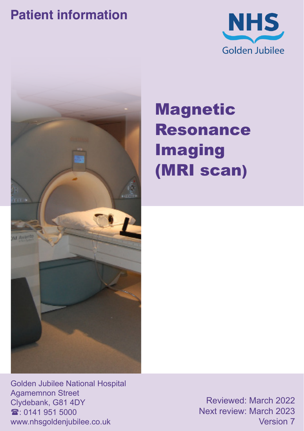### **Patient information**





# Magnetic Resonance Imaging (MRI scan)

Golden Jubilee National Hospital Agamemnon Street Clydebank, G81 4DY  $\mathbf{\hat{x}}$  0141 951 5000 www.nhsgoldenjubilee.co.uk

Reviewed: March 2022 Next review: March 2023 Version 7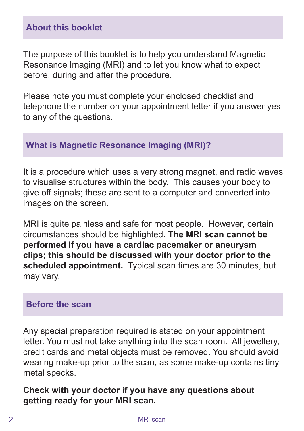#### **About this booklet**

The purpose of this booklet is to help you understand Magnetic Resonance Imaging (MRI) and to let you know what to expect before, during and after the procedure.

Please note you must complete your enclosed checklist and telephone the number on your appointment letter if you answer yes to any of the questions.

#### **What is Magnetic Resonance Imaging (MRI)?**

It is a procedure which uses a very strong magnet, and radio waves to visualise structures within the body. This causes your body to give off signals; these are sent to a computer and converted into images on the screen.

MRI is quite painless and safe for most people. However, certain circumstances should be highlighted. **The MRI scan cannot be performed if you have a cardiac pacemaker or aneurysm clips; this should be discussed with your doctor prior to the scheduled appointment.** Typical scan times are 30 minutes, but may vary.

#### **Before the scan**

Any special preparation required is stated on your appointment letter. You must not take anything into the scan room. All jewellery, credit cards and metal objects must be removed. You should avoid wearing make-up prior to the scan, as some make-up contains tiny metal specks.

**Check with your doctor if you have any questions about getting ready for your MRI scan.**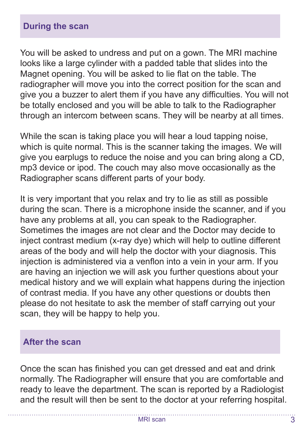You will be asked to undress and put on a gown. The MRI machine looks like a large cylinder with a padded table that slides into the Magnet opening. You will be asked to lie flat on the table. The radiographer will move you into the correct position for the scan and give you a buzzer to alert them if you have any difficulties. You will not be totally enclosed and you will be able to talk to the Radiographer through an intercom between scans. They will be nearby at all times.

While the scan is taking place you will hear a loud tapping noise, which is quite normal. This is the scanner taking the images. We will give you earplugs to reduce the noise and you can bring along a CD, mp3 device or ipod. The couch may also move occasionally as the Radiographer scans different parts of your body.

It is very important that you relax and try to lie as still as possible during the scan. There is a microphone inside the scanner, and if you have any problems at all, you can speak to the Radiographer. Sometimes the images are not clear and the Doctor may decide to inject contrast medium (x-ray dye) which will help to outline different areas of the body and will help the doctor with your diagnosis. This injection is administered via a venflon into a vein in your arm. If you are having an injection we will ask you further questions about your medical history and we will explain what happens during the injection of contrast media. If you have any other questions or doubts then please do not hesitate to ask the member of staff carrying out your scan, they will be happy to help you.

#### **After the scan**

Once the scan has finished you can get dressed and eat and drink normally. The Radiographer will ensure that you are comfortable and ready to leave the department. The scan is reported by a Radiologist and the result will then be sent to the doctor at your referring hospital.